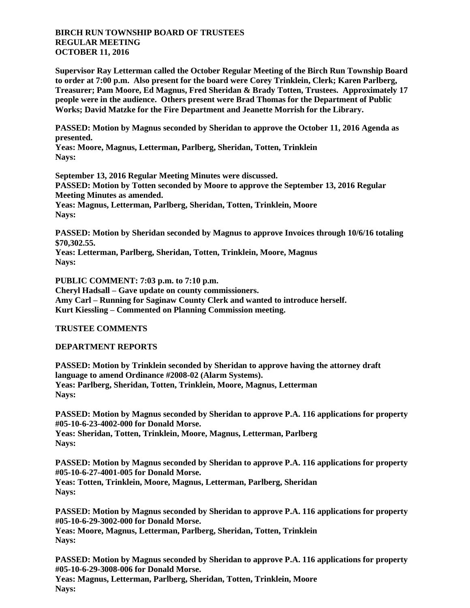## **BIRCH RUN TOWNSHIP BOARD OF TRUSTEES REGULAR MEETING OCTOBER 11, 2016**

**Supervisor Ray Letterman called the October Regular Meeting of the Birch Run Township Board to order at 7:00 p.m. Also present for the board were Corey Trinklein, Clerk; Karen Parlberg, Treasurer; Pam Moore, Ed Magnus, Fred Sheridan & Brady Totten, Trustees. Approximately 17 people were in the audience. Others present were Brad Thomas for the Department of Public Works; David Matzke for the Fire Department and Jeanette Morrish for the Library.**

**PASSED: Motion by Magnus seconded by Sheridan to approve the October 11, 2016 Agenda as presented.**

**Yeas: Moore, Magnus, Letterman, Parlberg, Sheridan, Totten, Trinklein Nays:** 

**September 13, 2016 Regular Meeting Minutes were discussed. PASSED: Motion by Totten seconded by Moore to approve the September 13, 2016 Regular Meeting Minutes as amended. Yeas: Magnus, Letterman, Parlberg, Sheridan, Totten, Trinklein, Moore Nays:** 

**PASSED: Motion by Sheridan seconded by Magnus to approve Invoices through 10/6/16 totaling \$70,302.55.**

**Yeas: Letterman, Parlberg, Sheridan, Totten, Trinklein, Moore, Magnus Nays:** 

**PUBLIC COMMENT: 7:03 p.m. to 7:10 p.m. Cheryl Hadsall – Gave update on county commissioners. Amy Carl – Running for Saginaw County Clerk and wanted to introduce herself. Kurt Kiessling – Commented on Planning Commission meeting.**

## **TRUSTEE COMMENTS**

## **DEPARTMENT REPORTS**

**PASSED: Motion by Trinklein seconded by Sheridan to approve having the attorney draft language to amend Ordinance #2008-02 (Alarm Systems). Yeas: Parlberg, Sheridan, Totten, Trinklein, Moore, Magnus, Letterman Nays:** 

**PASSED: Motion by Magnus seconded by Sheridan to approve P.A. 116 applications for property #05-10-6-23-4002-000 for Donald Morse.**

**Yeas: Sheridan, Totten, Trinklein, Moore, Magnus, Letterman, Parlberg Nays:** 

**PASSED: Motion by Magnus seconded by Sheridan to approve P.A. 116 applications for property #05-10-6-27-4001-005 for Donald Morse. Yeas: Totten, Trinklein, Moore, Magnus, Letterman, Parlberg, Sheridan Nays:** 

**PASSED: Motion by Magnus seconded by Sheridan to approve P.A. 116 applications for property #05-10-6-29-3002-000 for Donald Morse. Yeas: Moore, Magnus, Letterman, Parlberg, Sheridan, Totten, Trinklein Nays:** 

**PASSED: Motion by Magnus seconded by Sheridan to approve P.A. 116 applications for property #05-10-6-29-3008-006 for Donald Morse. Yeas: Magnus, Letterman, Parlberg, Sheridan, Totten, Trinklein, Moore Nays:**